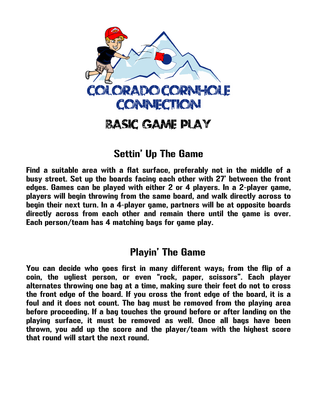

# Basic GAME PLAY

### Settin' Up The Game

Find a suitable area with a flat surface, preferably not in the middle of a busy street. Set up the boards facing each other with 27' between the front edges. Games can be played with either 2 or 4 players. In a 2-player game, players will begin throwing from the same board, and walk directly across to begin their next turn. In a 4-player game, partners will be at opposite boards directly across from each other and remain there until the game is over. Each person/team has 4 matching bags for game play.

#### Playin' The Game

You can decide who goes first in many different ways; from the flip of a coin, the ugliest person, or even "rock, paper, scissors". Each player alternates throwing one bag at a time, making sure their feet do not to cross the front edge of the board. If you cross the front edge of the board, it is a foul and it does not count. The bag must be removed from the playing area before proceeding. If a bag touches the ground before or after landing on the playing surface, it must be removed as well. Once all bags have been thrown, you add up the score and the player/team with the highest score that round will start the next round.